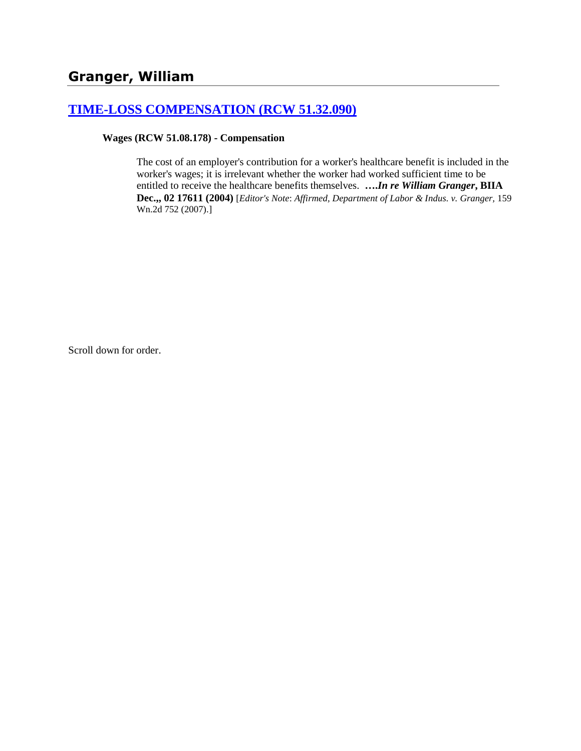## **[TIME-LOSS COMPENSATION \(RCW 51.32.090\)](http://www.biia.wa.gov/SDSubjectIndex.html#TIME_LOSS_COMPENSATION)**

#### **Wages (RCW 51.08.178) - Compensation**

The cost of an employer's contribution for a worker's healthcare benefit is included in the worker's wages; it is irrelevant whether the worker had worked sufficient time to be entitled to receive the healthcare benefits themselves. **….***In re William Granger***, BIIA Dec.,, 02 17611 (2004)** [*Editor's Note*: *Affirmed, Department of Labor & Indus. v. Granger,* 159 Wn.2d 752 (2007).]

Scroll down for order.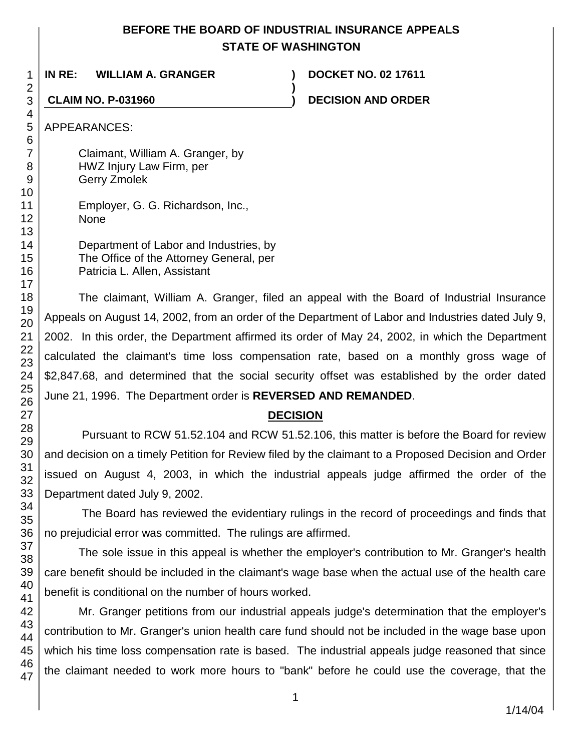# **BEFORE THE BOARD OF INDUSTRIAL INSURANCE APPEALS STATE OF WASHINGTON**

**)**

**IN RE: WILLIAM A. GRANGER ) DOCKET NO. 02 17611**

**CLAIM NO. P-031960 ) DECISION AND ORDER**

APPEARANCES:

Claimant, William A. Granger, by HWZ Injury Law Firm, per Gerry Zmolek

Employer, G. G. Richardson, Inc., None

| Department of Labor and Industries, by  |
|-----------------------------------------|
| The Office of the Attorney General, per |
| Patricia L. Allen, Assistant            |

The claimant, William A. Granger, filed an appeal with the Board of Industrial Insurance Appeals on August 14, 2002, from an order of the Department of Labor and Industries dated July 9, 2002. In this order, the Department affirmed its order of May 24, 2002, in which the Department calculated the claimant's time loss compensation rate, based on a monthly gross wage of \$2,847.68, and determined that the social security offset was established by the order dated June 21, 1996. The Department order is **REVERSED AND REMANDED**.

# **DECISION**

Pursuant to RCW 51.52.104 and RCW 51.52.106, this matter is before the Board for review and decision on a timely Petition for Review filed by the claimant to a Proposed Decision and Order issued on August 4, 2003, in which the industrial appeals judge affirmed the order of the Department dated July 9, 2002.

The Board has reviewed the evidentiary rulings in the record of proceedings and finds that no prejudicial error was committed. The rulings are affirmed.

The sole issue in this appeal is whether the employer's contribution to Mr. Granger's health care benefit should be included in the claimant's wage base when the actual use of the health care benefit is conditional on the number of hours worked.

Mr. Granger petitions from our industrial appeals judge's determination that the employer's contribution to Mr. Granger's union health care fund should not be included in the wage base upon which his time loss compensation rate is based. The industrial appeals judge reasoned that since the claimant needed to work more hours to "bank" before he could use the coverage, that the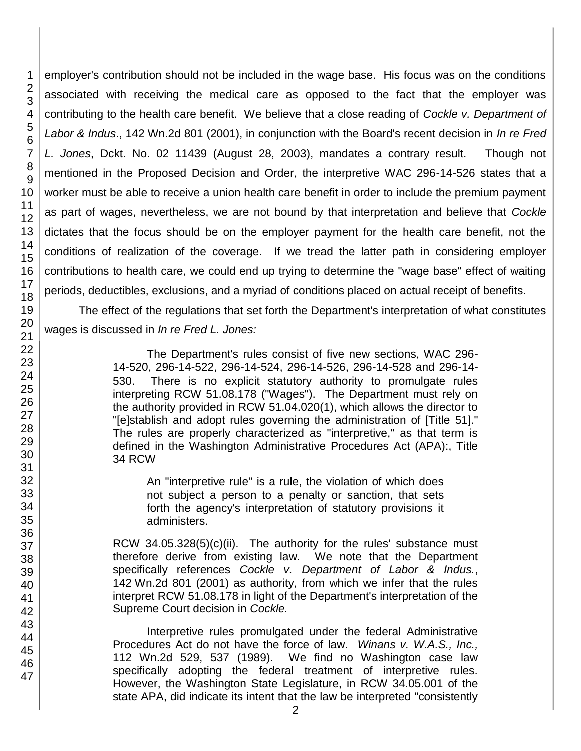employer's contribution should not be included in the wage base. His focus was on the conditions associated with receiving the medical care as opposed to the fact that the employer was contributing to the health care benefit. We believe that a close reading of *Cockle v. Department of Labor & Indus*., 142 Wn.2d 801 (2001), in conjunction with the Board's recent decision in *In re Fred L. Jones*, Dckt. No. 02 11439 (August 28, 2003), mandates a contrary result. Though not mentioned in the Proposed Decision and Order, the interpretive WAC 296-14-526 states that a worker must be able to receive a union health care benefit in order to include the premium payment as part of wages, nevertheless, we are not bound by that interpretation and believe that *Cockle* dictates that the focus should be on the employer payment for the health care benefit, not the conditions of realization of the coverage. If we tread the latter path in considering employer contributions to health care, we could end up trying to determine the "wage base" effect of waiting periods, deductibles, exclusions, and a myriad of conditions placed on actual receipt of benefits.

The effect of the regulations that set forth the Department's interpretation of what constitutes wages is discussed in *In re Fred L. Jones:*

> The Department's rules consist of five new sections, WAC 296- 14-520, 296-14-522, 296-14-524, 296-14-526, 296-14-528 and 296-14- 530. There is no explicit statutory authority to promulgate rules interpreting RCW 51.08.178 ("Wages"). The Department must rely on the authority provided in RCW 51.04.020(1), which allows the director to "[e]stablish and adopt rules governing the administration of [Title 51]." The rules are properly characterized as "interpretive," as that term is defined in the Washington Administrative Procedures Act (APA):, Title 34 RCW

An "interpretive rule" is a rule, the violation of which does not subject a person to a penalty or sanction, that sets forth the agency's interpretation of statutory provisions it administers.

RCW 34.05.328(5)(c)(ii). The authority for the rules' substance must therefore derive from existing law. We note that the Department specifically references *Cockle v. Department of Labor & Indus.*, 142 Wn.2d 801 (2001) as authority, from which we infer that the rules interpret RCW 51.08.178 in light of the Department's interpretation of the Supreme Court decision in *Cockle.* 

Interpretive rules promulgated under the federal Administrative Procedures Act do not have the force of law. *Winans v. W.A.S., Inc.,* 112 Wn.2d 529, 537 (1989). We find no Washington case law specifically adopting the federal treatment of interpretive rules. However, the Washington State Legislature, in RCW 34.05.001 of the state APA, did indicate its intent that the law be interpreted "consistently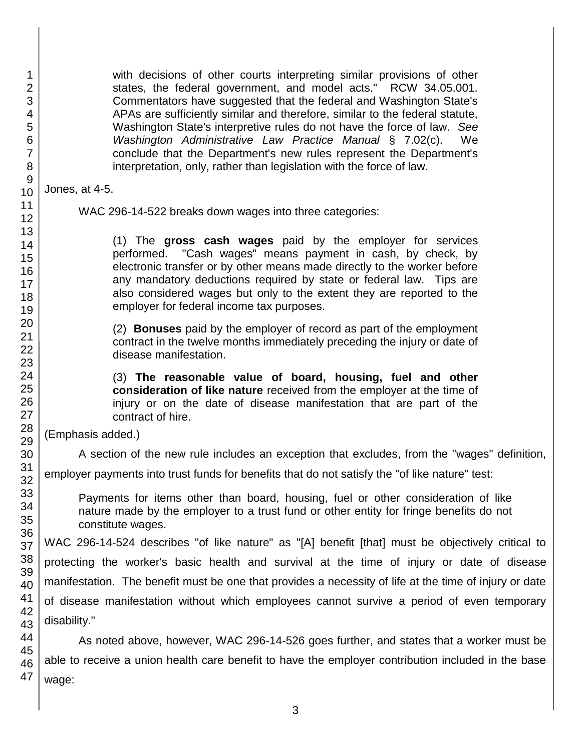with decisions of other courts interpreting similar provisions of other states, the federal government, and model acts." RCW 34.05.001. Commentators have suggested that the federal and Washington State's APAs are sufficiently similar and therefore, similar to the federal statute, Washington State's interpretive rules do not have the force of law. *See Washington Administrative Law Practice Manual* § 7.02(c). We conclude that the Department's new rules represent the Department's interpretation, only, rather than legislation with the force of law.

Jones, at 4-5.

WAC 296-14-522 breaks down wages into three categories:

(1) The **gross cash wages** paid by the employer for services performed. "Cash wages" means payment in cash, by check, by electronic transfer or by other means made directly to the worker before any mandatory deductions required by state or federal law. Tips are also considered wages but only to the extent they are reported to the employer for federal income tax purposes.

(2) **Bonuses** paid by the employer of record as part of the employment contract in the twelve months immediately preceding the injury or date of disease manifestation.

(3) **The reasonable value of board, housing, fuel and other consideration of like nature** received from the employer at the time of injury or on the date of disease manifestation that are part of the contract of hire.

(Emphasis added.)

A section of the new rule includes an exception that excludes, from the "wages" definition,

employer payments into trust funds for benefits that do not satisfy the "of like nature" test:

Payments for items other than board, housing, fuel or other consideration of like nature made by the employer to a trust fund or other entity for fringe benefits do not constitute wages.

WAC 296-14-524 describes "of like nature" as "[A] benefit [that] must be objectively critical to protecting the worker's basic health and survival at the time of injury or date of disease manifestation. The benefit must be one that provides a necessity of life at the time of injury or date of disease manifestation without which employees cannot survive a period of even temporary disability."

47 As noted above, however, WAC 296-14-526 goes further, and states that a worker must be able to receive a union health care benefit to have the employer contribution included in the base wage: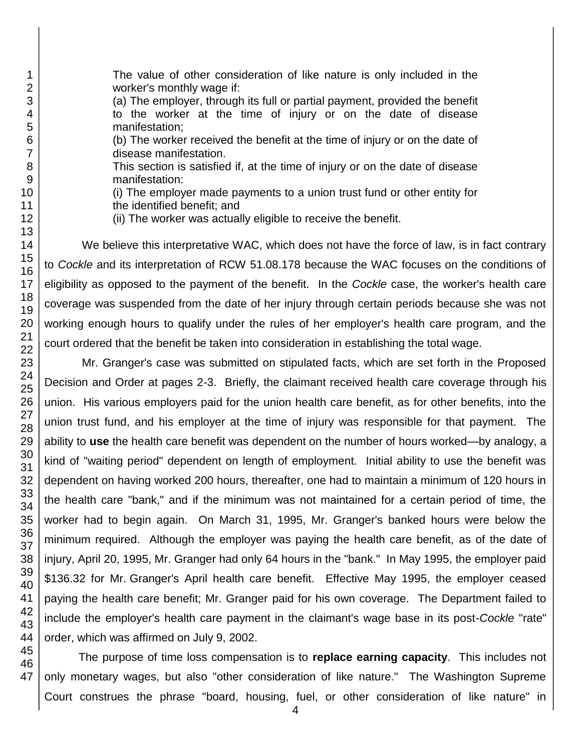The value of other consideration of like nature is only included in the worker's monthly wage if:

(a) The employer, through its full or partial payment, provided the benefit to the worker at the time of injury or on the date of disease manifestation;

(b) The worker received the benefit at the time of injury or on the date of disease manifestation.

This section is satisfied if, at the time of injury or on the date of disease manifestation:

(i) The employer made payments to a union trust fund or other entity for the identified benefit; and

(ii) The worker was actually eligible to receive the benefit.

We believe this interpretative WAC, which does not have the force of law, is in fact contrary to *Cockle* and its interpretation of RCW 51.08.178 because the WAC focuses on the conditions of eligibility as opposed to the payment of the benefit. In the *Cockle* case, the worker's health care coverage was suspended from the date of her injury through certain periods because she was not working enough hours to qualify under the rules of her employer's health care program, and the court ordered that the benefit be taken into consideration in establishing the total wage.

Mr. Granger's case was submitted on stipulated facts, which are set forth in the Proposed Decision and Order at pages 2-3. Briefly, the claimant received health care coverage through his union. His various employers paid for the union health care benefit, as for other benefits, into the union trust fund, and his employer at the time of injury was responsible for that payment. The ability to **use** the health care benefit was dependent on the number of hours worked—by analogy, a kind of "waiting period" dependent on length of employment. Initial ability to use the benefit was dependent on having worked 200 hours, thereafter, one had to maintain a minimum of 120 hours in the health care "bank," and if the minimum was not maintained for a certain period of time, the worker had to begin again. On March 31, 1995, Mr. Granger's banked hours were below the minimum required. Although the employer was paying the health care benefit, as of the date of injury, April 20, 1995, Mr. Granger had only 64 hours in the "bank." In May 1995, the employer paid \$136.32 for Mr. Granger's April health care benefit. Effective May 1995, the employer ceased paying the health care benefit; Mr. Granger paid for his own coverage. The Department failed to include the employer's health care payment in the claimant's wage base in its post-*Cockle* "rate" order, which was affirmed on July 9, 2002.

The purpose of time loss compensation is to **replace earning capacity**. This includes not only monetary wages, but also "other consideration of like nature." The Washington Supreme Court construes the phrase "board, housing, fuel, or other consideration of like nature" in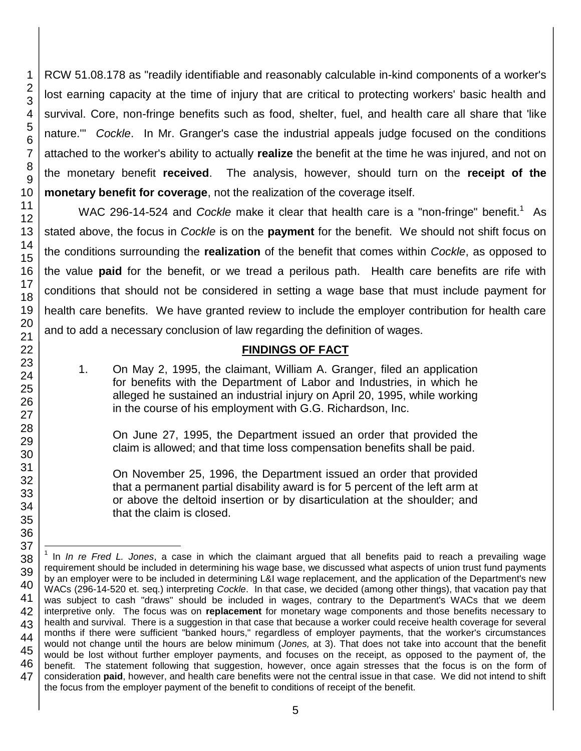RCW 51.08.178 as "readily identifiable and reasonably calculable in-kind components of a worker's lost earning capacity at the time of injury that are critical to protecting workers' basic health and survival. Core, non-fringe benefits such as food, shelter, fuel, and health care all share that 'like nature.'" *Cockle*. In Mr. Granger's case the industrial appeals judge focused on the conditions attached to the worker's ability to actually **realize** the benefit at the time he was injured, and not on the monetary benefit **received**. The analysis, however, should turn on the **receipt of the monetary benefit for coverage**, not the realization of the coverage itself.

WAC 296-14-524 and *Cockle* make it clear that health care is a "non-fringe" benefit.<sup>1</sup> As stated above, the focus in *Cockle* is on the **payment** for the benefit. We should not shift focus on the conditions surrounding the **realization** of the benefit that comes within *Cockle*, as opposed to the value **paid** for the benefit, or we tread a perilous path. Health care benefits are rife with conditions that should not be considered in setting a wage base that must include payment for health care benefits. We have granted review to include the employer contribution for health care and to add a necessary conclusion of law regarding the definition of wages.

## **FINDINGS OF FACT**

1. On May 2, 1995, the claimant, William A. Granger, filed an application for benefits with the Department of Labor and Industries, in which he alleged he sustained an industrial injury on April 20, 1995, while working in the course of his employment with G.G. Richardson, Inc.

On June 27, 1995, the Department issued an order that provided the claim is allowed; and that time loss compensation benefits shall be paid.

On November 25, 1996, the Department issued an order that provided that a permanent partial disability award is for 5 percent of the left arm at or above the deltoid insertion or by disarticulation at the shoulder; and that the claim is closed.

l <sup>1</sup> In *In re Fred L. Jones*, a case in which the claimant argued that all benefits paid to reach a prevailing wage requirement should be included in determining his wage base, we discussed what aspects of union trust fund payments by an employer were to be included in determining L&I wage replacement, and the application of the Department's new WACs (296-14-520 et. seq.) interpreting *Cockle*. In that case, we decided (among other things), that vacation pay that was subject to cash "draws" should be included in wages, contrary to the Department's WACs that we deem interpretive only. The focus was on **replacement** for monetary wage components and those benefits necessary to health and survival. There is a suggestion in that case that because a worker could receive health coverage for several months if there were sufficient "banked hours," regardless of employer payments, that the worker's circumstances would not change until the hours are below minimum (*Jones,* at 3). That does not take into account that the benefit would be lost without further employer payments, and focuses on the receipt, as opposed to the payment of, the benefit. The statement following that suggestion, however, once again stresses that the focus is on the form of consideration **paid**, however, and health care benefits were not the central issue in that case. We did not intend to shift the focus from the employer payment of the benefit to conditions of receipt of the benefit.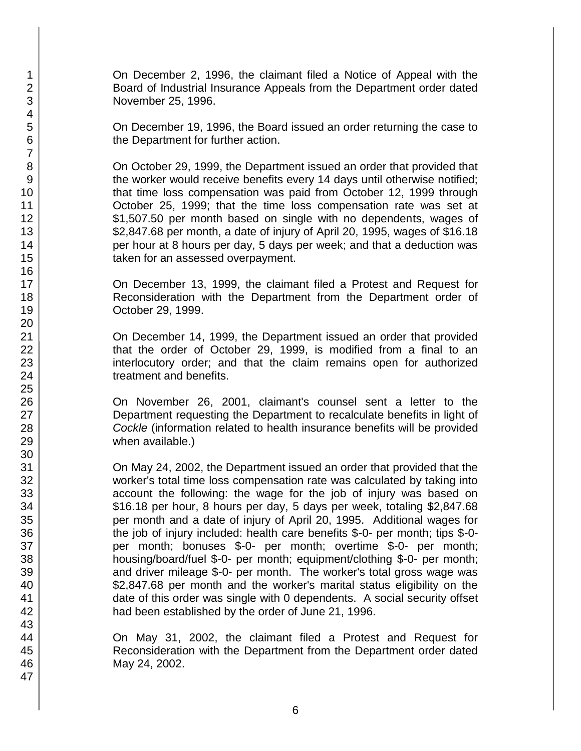On December 2, 1996, the claimant filed a Notice of Appeal with the Board of Industrial Insurance Appeals from the Department order dated November 25, 1996.

On December 19, 1996, the Board issued an order returning the case to the Department for further action.

On October 29, 1999, the Department issued an order that provided that the worker would receive benefits every 14 days until otherwise notified; that time loss compensation was paid from October 12, 1999 through October 25, 1999; that the time loss compensation rate was set at \$1,507.50 per month based on single with no dependents, wages of \$2,847.68 per month, a date of injury of April 20, 1995, wages of \$16.18 per hour at 8 hours per day, 5 days per week; and that a deduction was taken for an assessed overpayment.

On December 13, 1999, the claimant filed a Protest and Request for Reconsideration with the Department from the Department order of October 29, 1999.

On December 14, 1999, the Department issued an order that provided that the order of October 29, 1999, is modified from a final to an interlocutory order; and that the claim remains open for authorized treatment and benefits.

On November 26, 2001, claimant's counsel sent a letter to the Department requesting the Department to recalculate benefits in light of *Cockle* (information related to health insurance benefits will be provided when available.)

On May 24, 2002, the Department issued an order that provided that the worker's total time loss compensation rate was calculated by taking into account the following: the wage for the job of injury was based on \$16.18 per hour, 8 hours per day, 5 days per week, totaling \$2,847.68 per month and a date of injury of April 20, 1995. Additional wages for the job of injury included: health care benefits \$-0- per month; tips \$-0 per month; bonuses \$-0- per month; overtime \$-0- per month; housing/board/fuel \$-0- per month; equipment/clothing \$-0- per month; and driver mileage \$-0- per month. The worker's total gross wage was \$2,847.68 per month and the worker's marital status eligibility on the date of this order was single with 0 dependents. A social security offset had been established by the order of June 21, 1996.

On May 31, 2002, the claimant filed a Protest and Request for Reconsideration with the Department from the Department order dated May 24, 2002.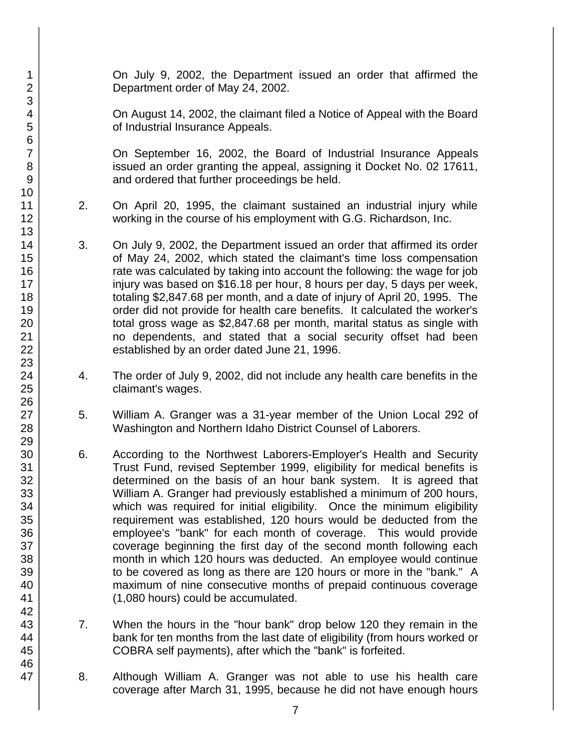On July 9, 2002, the Department issued an order that affirmed the Department order of May 24, 2002.

On August 14, 2002, the claimant filed a Notice of Appeal with the Board of Industrial Insurance Appeals.

On September 16, 2002, the Board of Industrial Insurance Appeals issued an order granting the appeal, assigning it Docket No. 02 17611, and ordered that further proceedings be held.

- 2. On April 20, 1995, the claimant sustained an industrial injury while working in the course of his employment with G.G. Richardson, Inc.
- 3. On July 9, 2002, the Department issued an order that affirmed its order of May 24, 2002, which stated the claimant's time loss compensation rate was calculated by taking into account the following: the wage for job injury was based on \$16.18 per hour, 8 hours per day, 5 days per week, totaling \$2,847.68 per month, and a date of injury of April 20, 1995. The order did not provide for health care benefits. It calculated the worker's total gross wage as \$2,847.68 per month, marital status as single with no dependents, and stated that a social security offset had been established by an order dated June 21, 1996.
- 4. The order of July 9, 2002, did not include any health care benefits in the claimant's wages.
- 5. William A. Granger was a 31-year member of the Union Local 292 of Washington and Northern Idaho District Counsel of Laborers.
- 6. According to the Northwest Laborers-Employer's Health and Security Trust Fund, revised September 1999, eligibility for medical benefits is determined on the basis of an hour bank system. It is agreed that William A. Granger had previously established a minimum of 200 hours, which was required for initial eligibility. Once the minimum eligibility requirement was established, 120 hours would be deducted from the employee's "bank" for each month of coverage. This would provide coverage beginning the first day of the second month following each month in which 120 hours was deducted. An employee would continue to be covered as long as there are 120 hours or more in the "bank." A maximum of nine consecutive months of prepaid continuous coverage (1,080 hours) could be accumulated.
- 7. When the hours in the "hour bank" drop below 120 they remain in the bank for ten months from the last date of eligibility (from hours worked or COBRA self payments), after which the "bank" is forfeited.
- 8. Although William A. Granger was not able to use his health care coverage after March 31, 1995, because he did not have enough hours
- 1 2 3 4 5 6 7 8 9 10 11 12 13 14 15 16 17 18 19 20 21 22 23 24 25 26 27 28 29 30 31 32 33 34 35 36 37 38 39 40 41 42 43 44 45 46 47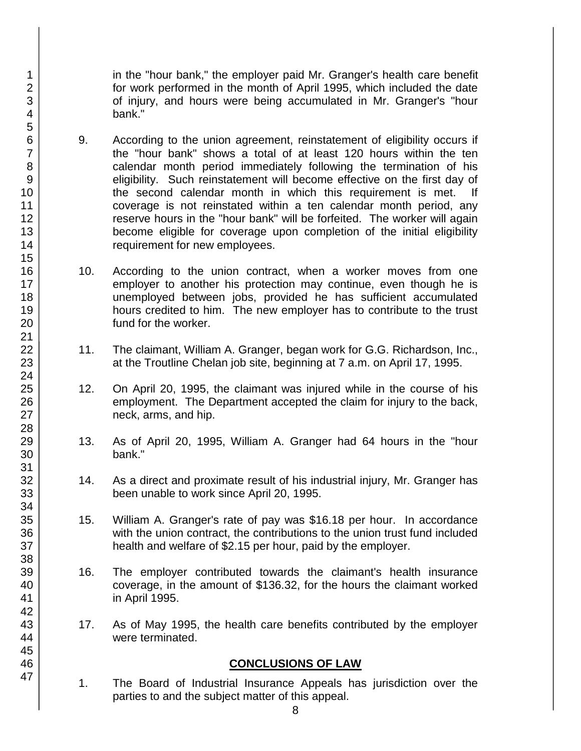in the "hour bank," the employer paid Mr. Granger's health care benefit for work performed in the month of April 1995, which included the date of injury, and hours were being accumulated in Mr. Granger's "hour bank."

- 9. According to the union agreement, reinstatement of eligibility occurs if the "hour bank" shows a total of at least 120 hours within the ten calendar month period immediately following the termination of his eligibility. Such reinstatement will become effective on the first day of the second calendar month in which this requirement is met. If coverage is not reinstated within a ten calendar month period, any reserve hours in the "hour bank" will be forfeited. The worker will again become eligible for coverage upon completion of the initial eligibility requirement for new employees.
- 10. According to the union contract, when a worker moves from one employer to another his protection may continue, even though he is unemployed between jobs, provided he has sufficient accumulated hours credited to him. The new employer has to contribute to the trust fund for the worker.
- 11. The claimant, William A. Granger, began work for G.G. Richardson, Inc., at the Troutline Chelan job site, beginning at 7 a.m. on April 17, 1995.
- 12. On April 20, 1995, the claimant was injured while in the course of his employment. The Department accepted the claim for injury to the back, neck, arms, and hip.
- 13. As of April 20, 1995, William A. Granger had 64 hours in the "hour bank."
- 14. As a direct and proximate result of his industrial injury, Mr. Granger has been unable to work since April 20, 1995.
- 15. William A. Granger's rate of pay was \$16.18 per hour. In accordance with the union contract, the contributions to the union trust fund included health and welfare of \$2.15 per hour, paid by the employer.
- 16. The employer contributed towards the claimant's health insurance coverage, in the amount of \$136.32, for the hours the claimant worked in April 1995.
- 17. As of May 1995, the health care benefits contributed by the employer were terminated.

#### **CONCLUSIONS OF LAW**

8

1. The Board of Industrial Insurance Appeals has jurisdiction over the parties to and the subject matter of this appeal.